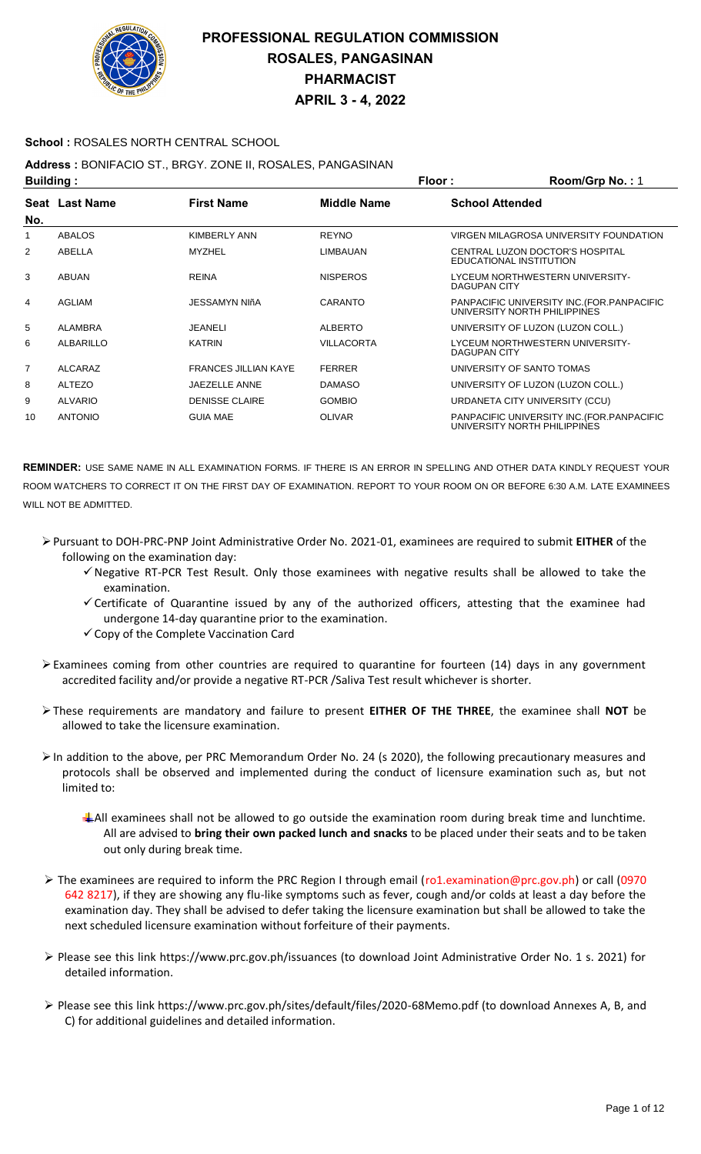

### **School :** ROSALES NORTH CENTRAL SCHOOL

### **Address :** BONIFACIO ST., BRGY. ZONE II, ROSALES, PANGASINAN

| <b>Building:</b> |                |                             | Floor:             | Room/Grp No.: 1                                                             |
|------------------|----------------|-----------------------------|--------------------|-----------------------------------------------------------------------------|
| No.              | Seat Last Name | <b>First Name</b>           | <b>Middle Name</b> | <b>School Attended</b>                                                      |
|                  | <b>ABALOS</b>  | <b>KIMBERLY ANN</b>         | <b>REYNO</b>       | VIRGEN MILAGROSA UNIVERSITY FOUNDATION                                      |
| $\overline{2}$   | ABELLA         | <b>MYZHEL</b>               | LIMBAUAN           | CENTRAL LUZON DOCTOR'S HOSPITAL<br>EDUCATIONAL INSTITUTION                  |
| 3                | <b>ABUAN</b>   | <b>REINA</b>                | <b>NISPEROS</b>    | LYCEUM NORTHWESTERN UNIVERSITY-<br>DAGUPAN CITY                             |
| 4                | AGLIAM         | <b>JESSAMYN NIñA</b>        | CARANTO            | PANPACIFIC UNIVERSITY INC. (FOR. PANPACIFIC<br>UNIVERSITY NORTH PHILIPPINES |
| 5                | ALAMBRA        | JEANELI                     | <b>ALBERTO</b>     | UNIVERSITY OF LUZON (LUZON COLL.)                                           |
| 6                | ALBARILLO      | <b>KATRIN</b>               | <b>VILLACORTA</b>  | LYCEUM NORTHWESTERN UNIVERSITY-<br>DAGUPAN CITY                             |
| $\overline{7}$   | ALCARAZ        | <b>FRANCES JILLIAN KAYE</b> | <b>FERRER</b>      | UNIVERSITY OF SANTO TOMAS                                                   |
| 8                | <b>ALTEZO</b>  | <b>JAEZELLE ANNE</b>        | <b>DAMASO</b>      | UNIVERSITY OF LUZON (LUZON COLL.)                                           |
| 9                | <b>ALVARIO</b> | <b>DENISSE CLAIRE</b>       | <b>GOMBIO</b>      | URDANETA CITY UNIVERSITY (CCU)                                              |
| 10               | <b>ANTONIO</b> | <b>GUIA MAE</b>             | <b>OLIVAR</b>      | PANPACIFIC UNIVERSITY INC. (FOR. PANPACIFIC<br>UNIVERSITY NORTH PHILIPPINES |

- Pursuant to DOH-PRC-PNP Joint Administrative Order No. 2021-01, examinees are required to submit **EITHER** of the following on the examination day:
	- $\checkmark$  Negative RT-PCR Test Result. Only those examinees with negative results shall be allowed to take the examination.
	- $\checkmark$  Certificate of Quarantine issued by any of the authorized officers, attesting that the examinee had undergone 14-day quarantine prior to the examination.
	- $\checkmark$  Copy of the Complete Vaccination Card
- $\triangleright$  Examinees coming from other countries are required to quarantine for fourteen (14) days in any government accredited facility and/or provide a negative RT-PCR /Saliva Test result whichever is shorter.
- These requirements are mandatory and failure to present **EITHER OF THE THREE**, the examinee shall **NOT** be allowed to take the licensure examination.
- In addition to the above, per PRC Memorandum Order No. 24 (s 2020), the following precautionary measures and protocols shall be observed and implemented during the conduct of licensure examination such as, but not limited to:
	- All examinees shall not be allowed to go outside the examination room during break time and lunchtime. All are advised to **bring their own packed lunch and snacks** to be placed under their seats and to be taken out only during break time.
- The examinees are required to inform the PRC Region I through email (ro1.examination@prc.gov.ph) or call (0970 642 8217), if they are showing any flu-like symptoms such as fever, cough and/or colds at least a day before the examination day. They shall be advised to defer taking the licensure examination but shall be allowed to take the next scheduled licensure examination without forfeiture of their payments.
- Please see this link https://www.prc.gov.ph/issuances (to download Joint Administrative Order No. 1 s. 2021) for detailed information.
- Please see this link https://www.prc.gov.ph/sites/default/files/2020-68Memo.pdf (to download Annexes A, B, and C) for additional guidelines and detailed information.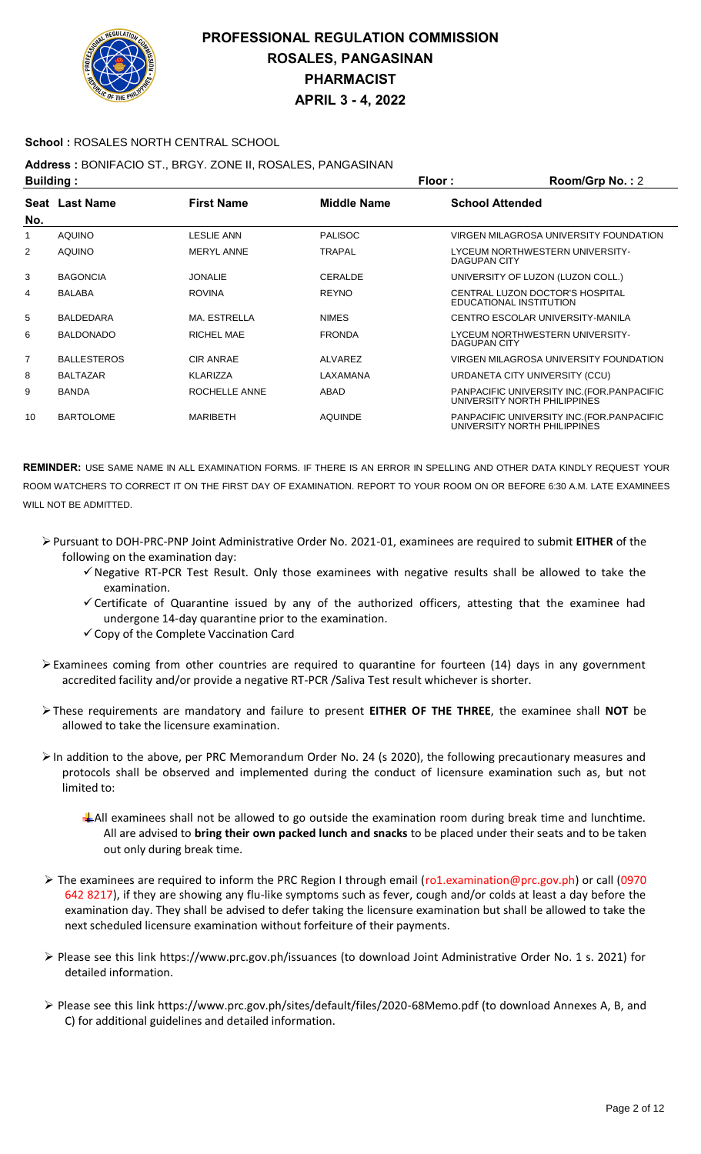

### **School :** ROSALES NORTH CENTRAL SCHOOL

### **Address :** BONIFACIO ST., BRGY. ZONE II, ROSALES, PANGASINAN

| <b>Building:</b> |                    |                   | Floor:             | Room/Grp No.: 2                                                             |
|------------------|--------------------|-------------------|--------------------|-----------------------------------------------------------------------------|
| No.              | Seat Last Name     | <b>First Name</b> | <b>Middle Name</b> | <b>School Attended</b>                                                      |
| 1                | <b>AQUINO</b>      | <b>LESLIE ANN</b> | <b>PALISOC</b>     | VIRGEN MILAGROSA UNIVERSITY FOUNDATION                                      |
| 2                | <b>AQUINO</b>      | <b>MERYL ANNE</b> | <b>TRAPAL</b>      | LYCEUM NORTHWESTERN UNIVERSITY-<br>DAGUPAN CITY                             |
| 3                | <b>BAGONCIA</b>    | <b>JONALIE</b>    | CERALDE            | UNIVERSITY OF LUZON (LUZON COLL.)                                           |
| 4                | <b>BALABA</b>      | <b>ROVINA</b>     | <b>REYNO</b>       | CENTRAL LUZON DOCTOR'S HOSPITAL<br>EDUCATIONAL INSTITUTION                  |
| 5                | <b>BALDEDARA</b>   | MA. ESTRELLA      | <b>NIMES</b>       | CENTRO ESCOLAR UNIVERSITY-MANILA                                            |
| 6                | <b>BALDONADO</b>   | RICHEL MAE        | <b>FRONDA</b>      | LYCEUM NORTHWESTERN UNIVERSITY-<br>DAGUPAN CITY                             |
| $\overline{7}$   | <b>BALLESTEROS</b> | <b>CIR ANRAE</b>  | ALVAREZ            | VIRGEN MILAGROSA UNIVERSITY FOUNDATION                                      |
| 8                | <b>BALTAZAR</b>    | <b>KLARIZZA</b>   | LAXAMANA           | URDANETA CITY UNIVERSITY (CCU)                                              |
| 9                | <b>BANDA</b>       | ROCHELLE ANNE     | ABAD               | PANPACIFIC UNIVERSITY INC. (FOR. PANPACIFIC<br>UNIVERSITY NORTH PHILIPPINES |
| 10               | <b>BARTOLOME</b>   | <b>MARIBETH</b>   | <b>AQUINDE</b>     | PANPACIFIC UNIVERSITY INC. (FOR. PANPACIFIC<br>UNIVERSITY NORTH PHILIPPINES |

- Pursuant to DOH-PRC-PNP Joint Administrative Order No. 2021-01, examinees are required to submit **EITHER** of the following on the examination day:
	- $\checkmark$  Negative RT-PCR Test Result. Only those examinees with negative results shall be allowed to take the examination.
	- $\checkmark$  Certificate of Quarantine issued by any of the authorized officers, attesting that the examinee had undergone 14-day quarantine prior to the examination.
	- $\checkmark$  Copy of the Complete Vaccination Card
- $\triangleright$  Examinees coming from other countries are required to quarantine for fourteen (14) days in any government accredited facility and/or provide a negative RT-PCR /Saliva Test result whichever is shorter.
- These requirements are mandatory and failure to present **EITHER OF THE THREE**, the examinee shall **NOT** be allowed to take the licensure examination.
- In addition to the above, per PRC Memorandum Order No. 24 (s 2020), the following precautionary measures and protocols shall be observed and implemented during the conduct of licensure examination such as, but not limited to:
	- All examinees shall not be allowed to go outside the examination room during break time and lunchtime. All are advised to **bring their own packed lunch and snacks** to be placed under their seats and to be taken out only during break time.
- The examinees are required to inform the PRC Region I through email (ro1.examination@prc.gov.ph) or call (0970 642 8217), if they are showing any flu-like symptoms such as fever, cough and/or colds at least a day before the examination day. They shall be advised to defer taking the licensure examination but shall be allowed to take the next scheduled licensure examination without forfeiture of their payments.
- Please see this link https://www.prc.gov.ph/issuances (to download Joint Administrative Order No. 1 s. 2021) for detailed information.
- Please see this link https://www.prc.gov.ph/sites/default/files/2020-68Memo.pdf (to download Annexes A, B, and C) for additional guidelines and detailed information.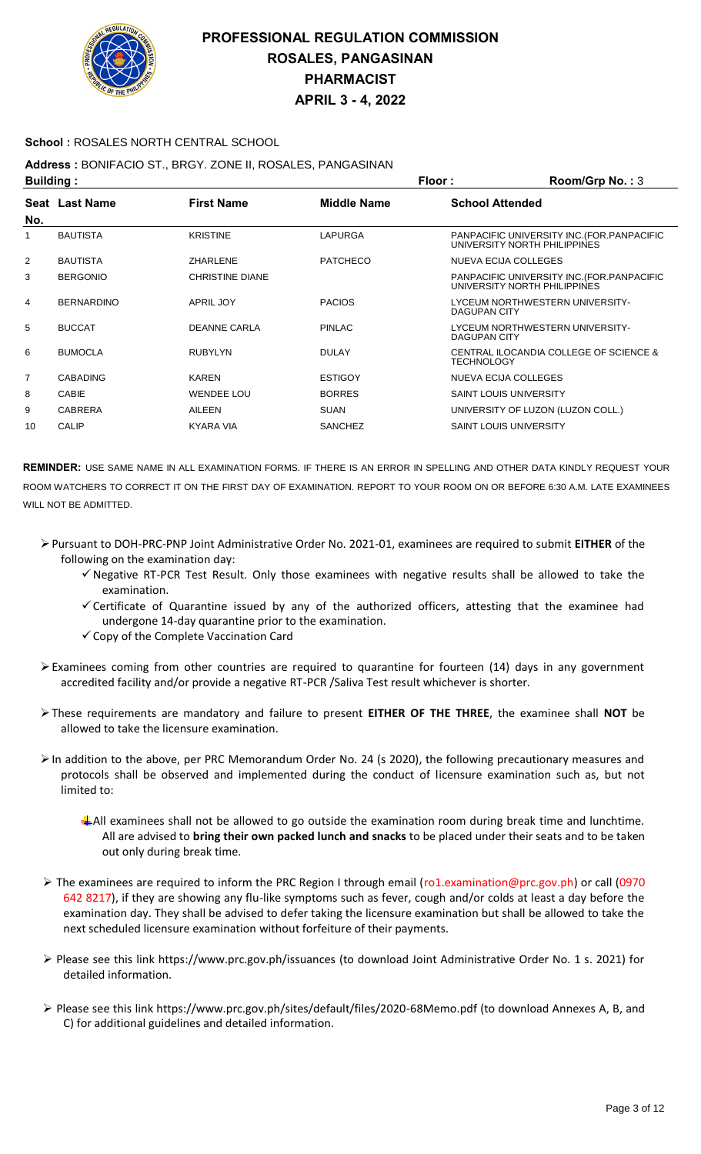

### **School :** ROSALES NORTH CENTRAL SCHOOL

## **Address :** BONIFACIO ST., BRGY. ZONE II, ROSALES, PANGASINAN

| <b>Building:</b> |                   |                        | <b>Floor:</b>   | Room/Grp No.: 3                                                             |
|------------------|-------------------|------------------------|-----------------|-----------------------------------------------------------------------------|
|                  | Seat Last Name    | <b>First Name</b>      | Middle Name     | <b>School Attended</b>                                                      |
| No.              |                   |                        |                 |                                                                             |
| 1                | <b>BAUTISTA</b>   | <b>KRISTINE</b>        | LAPURGA         | PANPACIFIC UNIVERSITY INC. (FOR. PANPACIFIC<br>UNIVERSITY NORTH PHILIPPINES |
| $\overline{2}$   | <b>BAUTISTA</b>   | <b>ZHARLENE</b>        | <b>PATCHECO</b> | <b>NUEVA ECIJA COLLEGES</b>                                                 |
| 3                | <b>BERGONIO</b>   | <b>CHRISTINE DIANE</b> |                 | PANPACIFIC UNIVERSITY INC. (FOR. PANPACIFIC<br>UNIVERSITY NORTH PHILIPPINES |
| 4                | <b>BERNARDINO</b> | APRIL JOY              | <b>PACIOS</b>   | LYCEUM NORTHWESTERN UNIVERSITY-<br>DAGUPAN CITY                             |
| 5                | <b>BUCCAT</b>     | DEANNE CARLA           | <b>PINLAC</b>   | LYCEUM NORTHWESTERN UNIVERSITY-<br>DAGUPAN CITY                             |
| 6                | <b>BUMOCLA</b>    | <b>RUBYLYN</b>         | <b>DULAY</b>    | CENTRAL ILOCANDIA COLLEGE OF SCIENCE &<br><b>TECHNOLOGY</b>                 |
| $\overline{7}$   | <b>CABADING</b>   | <b>KAREN</b>           | <b>ESTIGOY</b>  | NUEVA ECIJA COLLEGES                                                        |
| 8                | <b>CABIE</b>      | <b>WENDEE LOU</b>      | <b>BORRES</b>   | <b>SAINT LOUIS UNIVERSITY</b>                                               |
| 9                | <b>CABRERA</b>    | AILEEN                 | <b>SUAN</b>     | UNIVERSITY OF LUZON (LUZON COLL.)                                           |
| 10               | <b>CALIP</b>      | <b>KYARA VIA</b>       | <b>SANCHEZ</b>  | <b>SAINT LOUIS UNIVERSITY</b>                                               |

- Pursuant to DOH-PRC-PNP Joint Administrative Order No. 2021-01, examinees are required to submit **EITHER** of the following on the examination day:
	- $\checkmark$  Negative RT-PCR Test Result. Only those examinees with negative results shall be allowed to take the examination.
	- $\checkmark$  Certificate of Quarantine issued by any of the authorized officers, attesting that the examinee had undergone 14-day quarantine prior to the examination.
	- $\checkmark$  Copy of the Complete Vaccination Card
- Examinees coming from other countries are required to quarantine for fourteen (14) days in any government accredited facility and/or provide a negative RT-PCR /Saliva Test result whichever is shorter.
- These requirements are mandatory and failure to present **EITHER OF THE THREE**, the examinee shall **NOT** be allowed to take the licensure examination.
- In addition to the above, per PRC Memorandum Order No. 24 (s 2020), the following precautionary measures and protocols shall be observed and implemented during the conduct of licensure examination such as, but not limited to:
	- All examinees shall not be allowed to go outside the examination room during break time and lunchtime. All are advised to **bring their own packed lunch and snacks** to be placed under their seats and to be taken out only during break time.
- The examinees are required to inform the PRC Region I through email (ro1.examination@prc.gov.ph) or call (0970 642 8217), if they are showing any flu-like symptoms such as fever, cough and/or colds at least a day before the examination day. They shall be advised to defer taking the licensure examination but shall be allowed to take the next scheduled licensure examination without forfeiture of their payments.
- Please see this link https://www.prc.gov.ph/issuances (to download Joint Administrative Order No. 1 s. 2021) for detailed information.
- Please see this link https://www.prc.gov.ph/sites/default/files/2020-68Memo.pdf (to download Annexes A, B, and C) for additional guidelines and detailed information.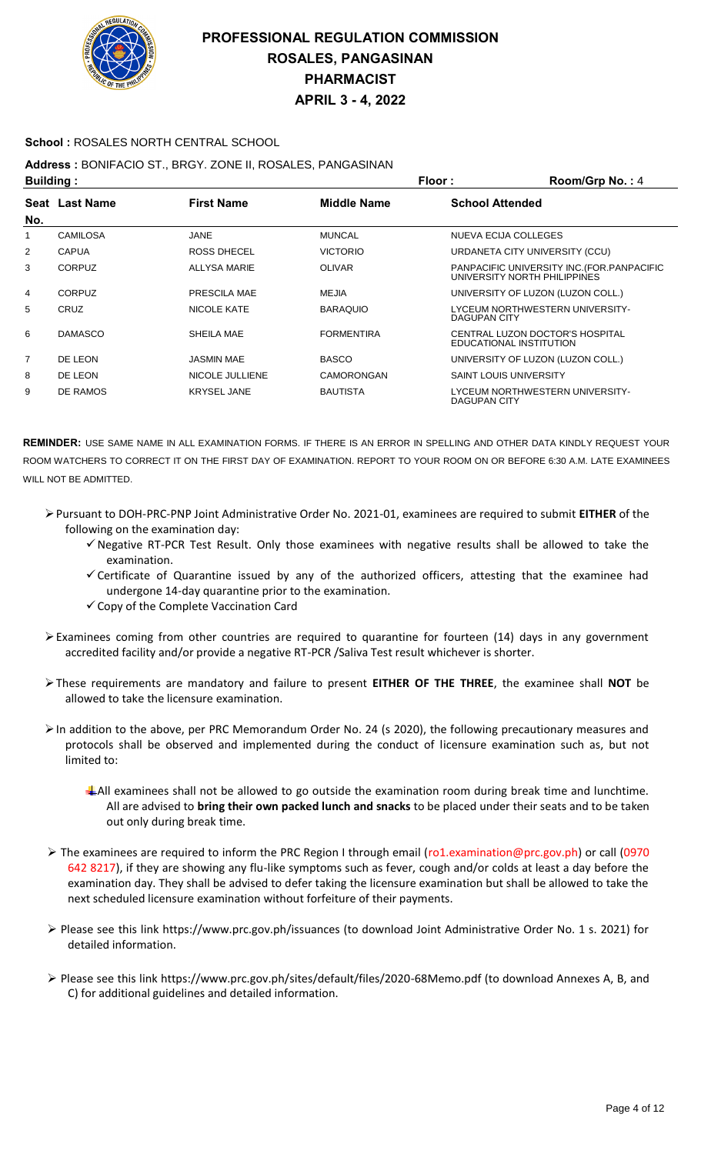

#### **School :** ROSALES NORTH CENTRAL SCHOOL

### **Address :** BONIFACIO ST., BRGY. ZONE II, ROSALES, PANGASINAN

| <b>Building:</b> |                 |                    | Floor :<br>Room/Grp No.: 4 |                               |                                                                             |
|------------------|-----------------|--------------------|----------------------------|-------------------------------|-----------------------------------------------------------------------------|
|                  | Seat Last Name  | <b>First Name</b>  | <b>Middle Name</b>         | <b>School Attended</b>        |                                                                             |
| No.              |                 |                    |                            |                               |                                                                             |
|                  | <b>CAMILOSA</b> | JANE               | <b>MUNCAL</b>              | NUEVA ECIJA COLLEGES          |                                                                             |
| 2                | <b>CAPUA</b>    | ROSS DHECEL        | <b>VICTORIO</b>            |                               | URDANETA CITY UNIVERSITY (CCU)                                              |
| 3                | <b>CORPUZ</b>   | ALLYSA MARIE       | <b>OLIVAR</b>              |                               | PANPACIFIC UNIVERSITY INC. (FOR. PANPACIFIC<br>UNIVERSITY NORTH PHILIPPINES |
| 4                | <b>CORPUZ</b>   | PRESCILA MAE       | MEJIA                      |                               | UNIVERSITY OF LUZON (LUZON COLL.)                                           |
| 5                | <b>CRUZ</b>     | NICOLE KATE        | <b>BARAQUIO</b>            | DAGUPAN CITY                  | LYCEUM NORTHWESTERN UNIVERSITY-                                             |
| 6                | <b>DAMASCO</b>  | SHEILA MAE         | <b>FORMENTIRA</b>          |                               | CENTRAL LUZON DOCTOR'S HOSPITAL<br>EDUCATIONAL INSTITUTION                  |
| $\overline{7}$   | DE LEON         | <b>JASMIN MAE</b>  | <b>BASCO</b>               |                               | UNIVERSITY OF LUZON (LUZON COLL.)                                           |
| 8                | DE LEON         | NICOLE JULLIENE    | CAMORONGAN                 | <b>SAINT LOUIS UNIVERSITY</b> |                                                                             |
| 9                | DE RAMOS        | <b>KRYSEL JANE</b> | <b>BAUTISTA</b>            | <b>DAGUPAN CITY</b>           | LYCEUM NORTHWESTERN UNIVERSITY-                                             |

- Pursuant to DOH-PRC-PNP Joint Administrative Order No. 2021-01, examinees are required to submit **EITHER** of the following on the examination day:
	- $\checkmark$  Negative RT-PCR Test Result. Only those examinees with negative results shall be allowed to take the examination.
	- $\checkmark$  Certificate of Quarantine issued by any of the authorized officers, attesting that the examinee had undergone 14-day quarantine prior to the examination.
	- $\checkmark$  Copy of the Complete Vaccination Card
- Examinees coming from other countries are required to quarantine for fourteen (14) days in any government accredited facility and/or provide a negative RT-PCR /Saliva Test result whichever is shorter.
- These requirements are mandatory and failure to present **EITHER OF THE THREE**, the examinee shall **NOT** be allowed to take the licensure examination.
- $\triangleright$  In addition to the above, per PRC Memorandum Order No. 24 (s 2020), the following precautionary measures and protocols shall be observed and implemented during the conduct of licensure examination such as, but not limited to:
	- $\ddagger$  All examinees shall not be allowed to go outside the examination room during break time and lunchtime. All are advised to **bring their own packed lunch and snacks** to be placed under their seats and to be taken out only during break time.
- The examinees are required to inform the PRC Region I through email (ro1.examination@prc.gov.ph) or call (0970 642 8217), if they are showing any flu-like symptoms such as fever, cough and/or colds at least a day before the examination day. They shall be advised to defer taking the licensure examination but shall be allowed to take the next scheduled licensure examination without forfeiture of their payments.
- Please see this link https://www.prc.gov.ph/issuances (to download Joint Administrative Order No. 1 s. 2021) for detailed information.
- Please see this link https://www.prc.gov.ph/sites/default/files/2020-68Memo.pdf (to download Annexes A, B, and C) for additional guidelines and detailed information.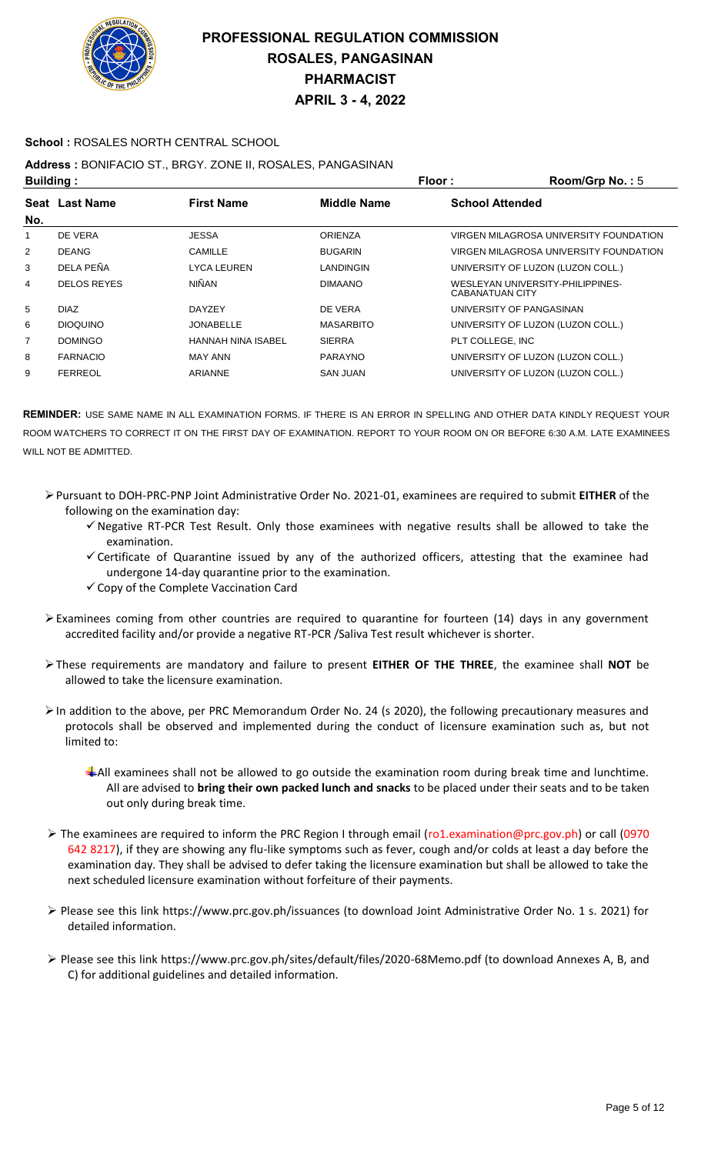

### **School :** ROSALES NORTH CENTRAL SCHOOL

### **Address :** BONIFACIO ST., BRGY. ZONE II, ROSALES, PANGASINAN

| <b>Building:</b> |                       |                           | Floor:<br>Room/Grp No.: 5 |                        |                                        |
|------------------|-----------------------|---------------------------|---------------------------|------------------------|----------------------------------------|
|                  | <b>Seat Last Name</b> | <b>First Name</b>         | <b>Middle Name</b>        | <b>School Attended</b> |                                        |
| No.              |                       |                           |                           |                        |                                        |
| 1                | DE VERA               | <b>JESSA</b>              | <b>ORIENZA</b>            |                        | VIRGEN MILAGROSA UNIVERSITY FOUNDATION |
| $\overline{2}$   | <b>DEANG</b>          | CAMILLE                   | <b>BUGARIN</b>            |                        | VIRGEN MILAGROSA UNIVERSITY FOUNDATION |
| 3                | DELA PEÑA             | <b>LYCA LEUREN</b>        | LANDINGIN                 |                        | UNIVERSITY OF LUZON (LUZON COLL.)      |
| 4                | <b>DELOS REYES</b>    | <b>NIÑAN</b>              | <b>DIMAANO</b>            | CABANATUAN CITY        | WESLEYAN UNIVERSITY-PHILIPPINES-       |
| 5                | <b>DIAZ</b>           | <b>DAYZEY</b>             | DE VERA                   |                        | UNIVERSITY OF PANGASINAN               |
| 6                | <b>DIOQUINO</b>       | <b>JONABELLE</b>          | <b>MASARBITO</b>          |                        | UNIVERSITY OF LUZON (LUZON COLL.)      |
| $\overline{7}$   | <b>DOMINGO</b>        | <b>HANNAH NINA ISABEL</b> | <b>SIERRA</b>             | PLT COLLEGE. INC       |                                        |
| 8                | <b>FARNACIO</b>       | MAY ANN                   | <b>PARAYNO</b>            |                        | UNIVERSITY OF LUZON (LUZON COLL.)      |
| 9                | <b>FERREOL</b>        | ARIANNE                   | <b>SAN JUAN</b>           |                        | UNIVERSITY OF LUZON (LUZON COLL.)      |

- Pursuant to DOH-PRC-PNP Joint Administrative Order No. 2021-01, examinees are required to submit **EITHER** of the following on the examination day:
	- $\checkmark$  Negative RT-PCR Test Result. Only those examinees with negative results shall be allowed to take the examination.
	- $\checkmark$  Certificate of Quarantine issued by any of the authorized officers, attesting that the examinee had undergone 14-day quarantine prior to the examination.
	- $\checkmark$  Copy of the Complete Vaccination Card
- Examinees coming from other countries are required to quarantine for fourteen (14) days in any government accredited facility and/or provide a negative RT-PCR /Saliva Test result whichever is shorter.
- These requirements are mandatory and failure to present **EITHER OF THE THREE**, the examinee shall **NOT** be allowed to take the licensure examination.
- $\triangleright$  In addition to the above, per PRC Memorandum Order No. 24 (s 2020), the following precautionary measures and protocols shall be observed and implemented during the conduct of licensure examination such as, but not limited to:
	- All examinees shall not be allowed to go outside the examination room during break time and lunchtime. All are advised to **bring their own packed lunch and snacks** to be placed under their seats and to be taken out only during break time.
- The examinees are required to inform the PRC Region I through email (ro1.examination@prc.gov.ph) or call (0970 642 8217), if they are showing any flu-like symptoms such as fever, cough and/or colds at least a day before the examination day. They shall be advised to defer taking the licensure examination but shall be allowed to take the next scheduled licensure examination without forfeiture of their payments.
- Please see this link https://www.prc.gov.ph/issuances (to download Joint Administrative Order No. 1 s. 2021) for detailed information.
- Please see this link https://www.prc.gov.ph/sites/default/files/2020-68Memo.pdf (to download Annexes A, B, and C) for additional guidelines and detailed information.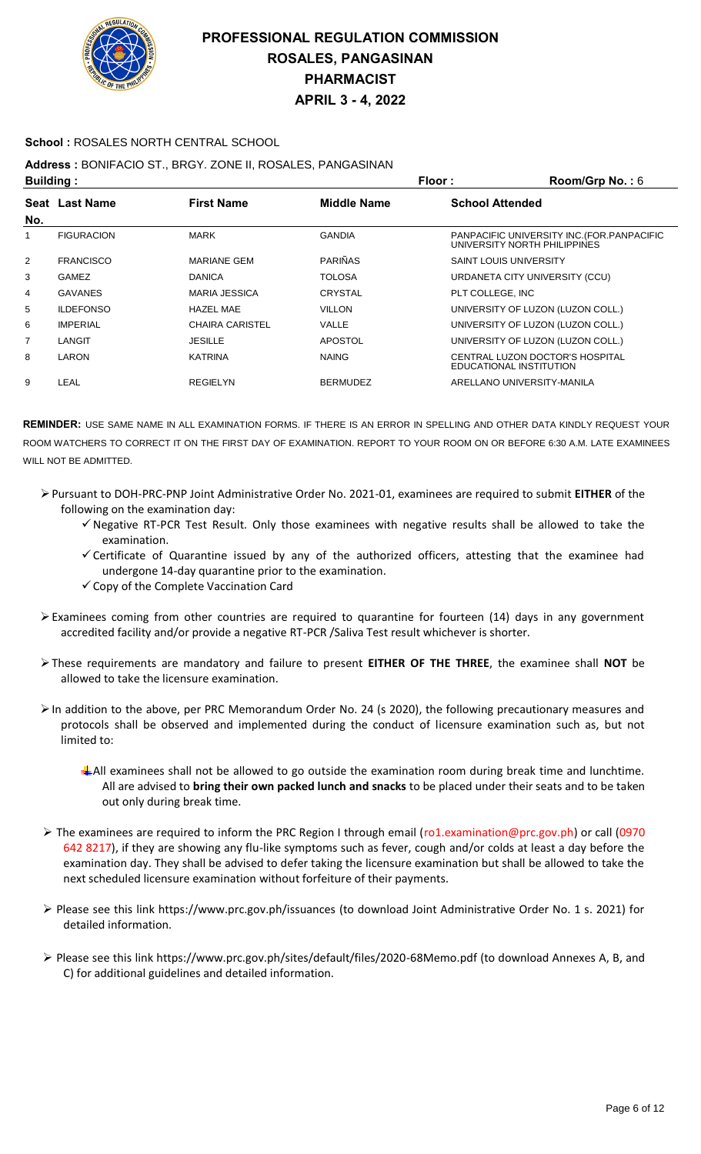

#### **School :** ROSALES NORTH CENTRAL SCHOOL

### **Address :** BONIFACIO ST., BRGY. ZONE II, ROSALES, PANGASINAN

| <b>Building:</b> |                   | Floor:                 | Room/Grp No.: 6    |                                                                             |
|------------------|-------------------|------------------------|--------------------|-----------------------------------------------------------------------------|
|                  | Seat Last Name    | <b>First Name</b>      | <b>Middle Name</b> | <b>School Attended</b>                                                      |
| No.              |                   |                        |                    |                                                                             |
| 1                | <b>FIGURACION</b> | <b>MARK</b>            | <b>GANDIA</b>      | PANPACIFIC UNIVERSITY INC. (FOR. PANPACIFIC<br>UNIVERSITY NORTH PHILIPPINES |
| 2                | <b>FRANCISCO</b>  | <b>MARIANE GEM</b>     | <b>PARIÑAS</b>     | <b>SAINT LOUIS UNIVERSITY</b>                                               |
| 3                | <b>GAMEZ</b>      | <b>DANICA</b>          | <b>TOLOSA</b>      | URDANETA CITY UNIVERSITY (CCU)                                              |
| 4                | <b>GAVANES</b>    | <b>MARIA JESSICA</b>   | <b>CRYSTAL</b>     | PLT COLLEGE. INC                                                            |
| 5                | <b>ILDEFONSO</b>  | <b>HAZEL MAE</b>       | <b>VILLON</b>      | UNIVERSITY OF LUZON (LUZON COLL.)                                           |
| 6                | <b>IMPERIAL</b>   | <b>CHAIRA CARISTEL</b> | VALLE              | UNIVERSITY OF LUZON (LUZON COLL.)                                           |
| 7                | LANGIT            | <b>JESILLE</b>         | <b>APOSTOL</b>     | UNIVERSITY OF LUZON (LUZON COLL.)                                           |
| 8                | LARON             | <b>KATRINA</b>         | <b>NAING</b>       | CENTRAL LUZON DOCTOR'S HOSPITAL<br>EDUCATIONAL INSTITUTION                  |
| 9                | LEAL              | <b>REGIELYN</b>        | <b>BERMUDEZ</b>    | ARELLANO UNIVERSITY-MANILA                                                  |

- Pursuant to DOH-PRC-PNP Joint Administrative Order No. 2021-01, examinees are required to submit **EITHER** of the following on the examination day:
	- $\checkmark$  Negative RT-PCR Test Result. Only those examinees with negative results shall be allowed to take the examination.
	- $\checkmark$  Certificate of Quarantine issued by any of the authorized officers, attesting that the examinee had undergone 14-day quarantine prior to the examination.
	- $\checkmark$  Copy of the Complete Vaccination Card
- $\triangleright$  Examinees coming from other countries are required to quarantine for fourteen (14) days in any government accredited facility and/or provide a negative RT-PCR /Saliva Test result whichever is shorter.
- These requirements are mandatory and failure to present **EITHER OF THE THREE**, the examinee shall **NOT** be allowed to take the licensure examination.
- In addition to the above, per PRC Memorandum Order No. 24 (s 2020), the following precautionary measures and protocols shall be observed and implemented during the conduct of licensure examination such as, but not limited to:
	- All examinees shall not be allowed to go outside the examination room during break time and lunchtime. All are advised to **bring their own packed lunch and snacks** to be placed under their seats and to be taken out only during break time.
- The examinees are required to inform the PRC Region I through email (ro1.examination@prc.gov.ph) or call (0970 642 8217), if they are showing any flu-like symptoms such as fever, cough and/or colds at least a day before the examination day. They shall be advised to defer taking the licensure examination but shall be allowed to take the next scheduled licensure examination without forfeiture of their payments.
- Please see this link https://www.prc.gov.ph/issuances (to download Joint Administrative Order No. 1 s. 2021) for detailed information.
- Please see this link https://www.prc.gov.ph/sites/default/files/2020-68Memo.pdf (to download Annexes A, B, and C) for additional guidelines and detailed information.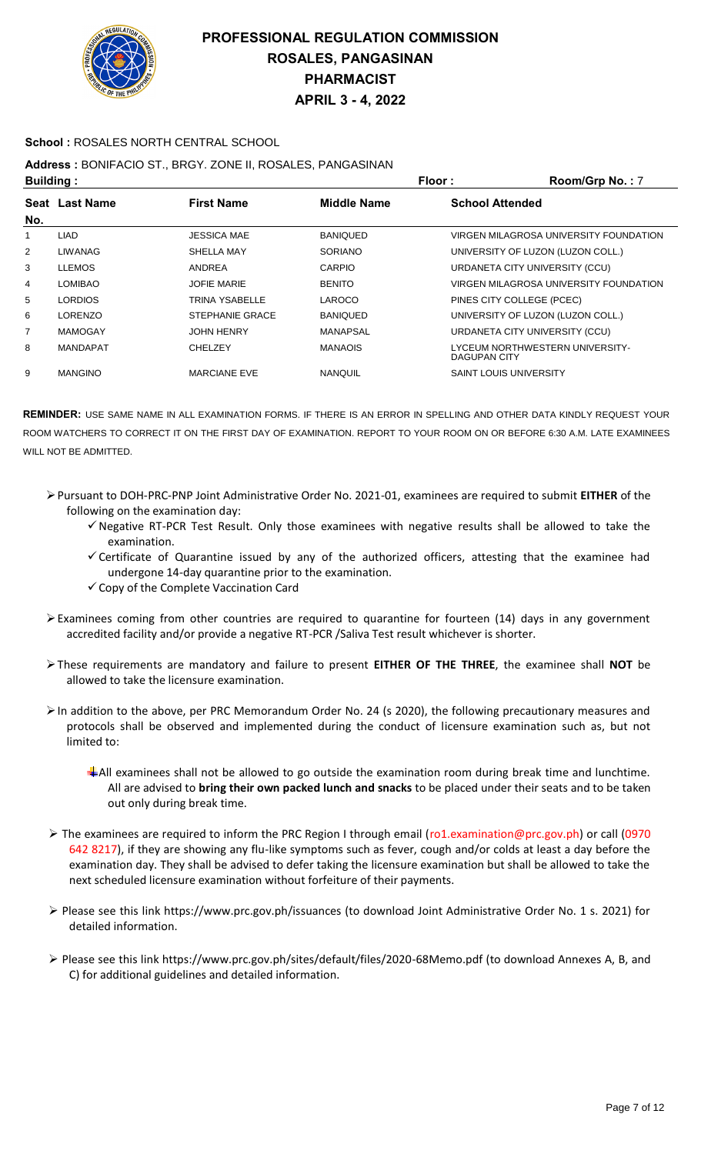

### **School :** ROSALES NORTH CENTRAL SCHOOL

# **Address :** BONIFACIO ST., BRGY. ZONE II, ROSALES, PANGASINAN

| <b>Building:</b> |                 |                        |                 | Floor:                        | Room/Grp No.: 7                        |
|------------------|-----------------|------------------------|-----------------|-------------------------------|----------------------------------------|
| No.              | Seat Last Name  | <b>First Name</b>      | Middle Name     | <b>School Attended</b>        |                                        |
|                  | <b>LIAD</b>     | <b>JESSICA MAE</b>     | <b>BANIQUED</b> |                               | VIRGEN MILAGROSA UNIVERSITY FOUNDATION |
| 2                | LIWANAG         | SHELLA MAY             | <b>SORIANO</b>  |                               | UNIVERSITY OF LUZON (LUZON COLL.)      |
| 3                | <b>LLEMOS</b>   | ANDREA                 | CARPIO          |                               | URDANETA CITY UNIVERSITY (CCU)         |
| 4                | LOMIBAO         | <b>JOFIE MARIE</b>     | <b>BENITO</b>   |                               | VIRGEN MILAGROSA UNIVERSITY FOUNDATION |
| 5                | <b>LORDIOS</b>  | TRINA YSABELLE         | LAROCO          | PINES CITY COLLEGE (PCEC)     |                                        |
| 6                | LORENZO         | <b>STEPHANIE GRACE</b> | <b>BANIQUED</b> |                               | UNIVERSITY OF LUZON (LUZON COLL.)      |
| 7                | <b>MAMOGAY</b>  | <b>JOHN HENRY</b>      | MANAPSAL        |                               | URDANETA CITY UNIVERSITY (CCU)         |
| 8                | <b>MANDAPAT</b> | <b>CHELZEY</b>         | <b>MANAOIS</b>  | <b>DAGUPAN CITY</b>           | LYCEUM NORTHWESTERN UNIVERSITY-        |
| 9                | <b>MANGINO</b>  | <b>MARCIANE EVE</b>    | <b>NANQUIL</b>  | <b>SAINT LOUIS UNIVERSITY</b> |                                        |

- Pursuant to DOH-PRC-PNP Joint Administrative Order No. 2021-01, examinees are required to submit **EITHER** of the following on the examination day:
	- $\checkmark$  Negative RT-PCR Test Result. Only those examinees with negative results shall be allowed to take the examination.
	- $\checkmark$  Certificate of Quarantine issued by any of the authorized officers, attesting that the examinee had undergone 14-day quarantine prior to the examination.
	- $\checkmark$  Copy of the Complete Vaccination Card
- $\triangleright$  Examinees coming from other countries are required to quarantine for fourteen (14) days in any government accredited facility and/or provide a negative RT-PCR /Saliva Test result whichever is shorter.
- These requirements are mandatory and failure to present **EITHER OF THE THREE**, the examinee shall **NOT** be allowed to take the licensure examination.
- $\triangleright$  In addition to the above, per PRC Memorandum Order No. 24 (s 2020), the following precautionary measures and protocols shall be observed and implemented during the conduct of licensure examination such as, but not limited to:
	- All examinees shall not be allowed to go outside the examination room during break time and lunchtime. All are advised to **bring their own packed lunch and snacks** to be placed under their seats and to be taken out only during break time.
- The examinees are required to inform the PRC Region I through email (ro1.examination@prc.gov.ph) or call (0970 642 8217), if they are showing any flu-like symptoms such as fever, cough and/or colds at least a day before the examination day. They shall be advised to defer taking the licensure examination but shall be allowed to take the next scheduled licensure examination without forfeiture of their payments.
- Please see this link https://www.prc.gov.ph/issuances (to download Joint Administrative Order No. 1 s. 2021) for detailed information.
- Please see this link https://www.prc.gov.ph/sites/default/files/2020-68Memo.pdf (to download Annexes A, B, and C) for additional guidelines and detailed information.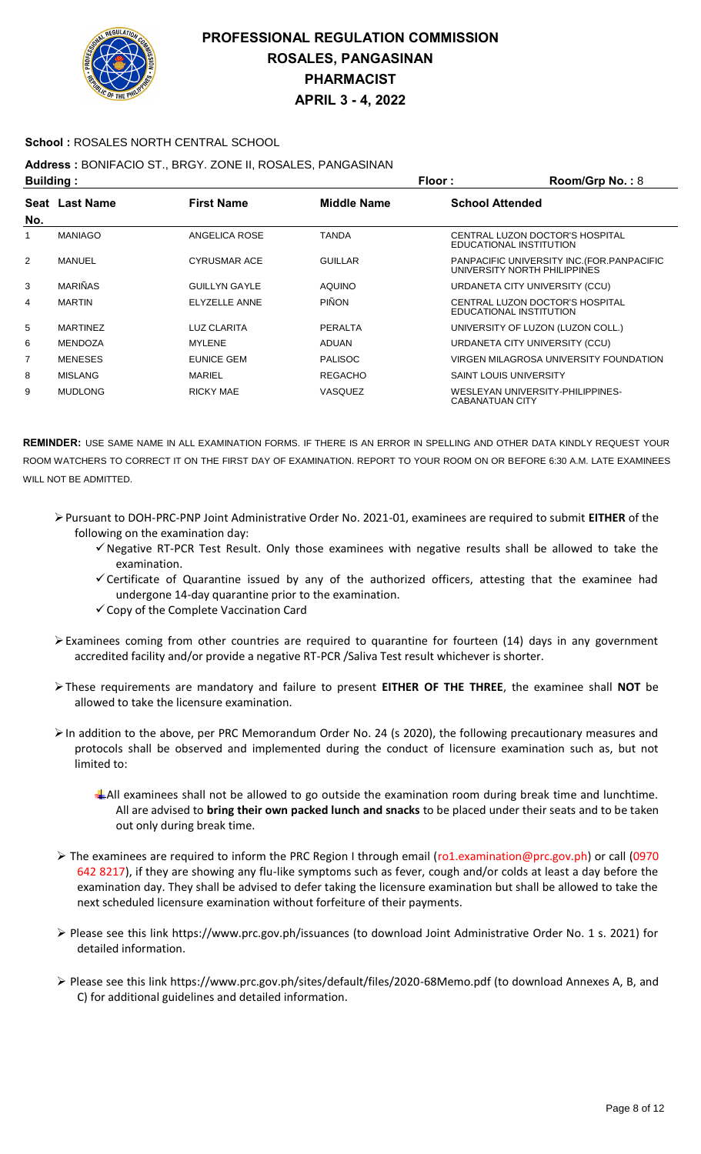

### **School :** ROSALES NORTH CENTRAL SCHOOL

## **Address :** BONIFACIO ST., BRGY. ZONE II, ROSALES, PANGASINAN

| <b>Building:</b> |                       |                      | Floor:             | Room/Grp No.: 8        |                                                                             |
|------------------|-----------------------|----------------------|--------------------|------------------------|-----------------------------------------------------------------------------|
|                  | <b>Seat Last Name</b> | <b>First Name</b>    | <b>Middle Name</b> | <b>School Attended</b> |                                                                             |
| No.              |                       |                      |                    |                        |                                                                             |
|                  | <b>MANIAGO</b>        | ANGELICA ROSE        | <b>TANDA</b>       |                        | CENTRAL LUZON DOCTOR'S HOSPITAL<br>EDUCATIONAL INSTITUTION                  |
| 2                | <b>MANUEL</b>         | <b>CYRUSMAR ACE</b>  | <b>GUILLAR</b>     |                        | PANPACIFIC UNIVERSITY INC. (FOR. PANPACIFIC<br>UNIVERSITY NORTH PHILIPPINES |
| 3                | <b>MARIÑAS</b>        | <b>GUILLYN GAYLE</b> | <b>AQUINO</b>      |                        | URDANETA CITY UNIVERSITY (CCU)                                              |
| 4                | <b>MARTIN</b>         | ELYZELLE ANNE        | PIÑON              |                        | CENTRAL LUZON DOCTOR'S HOSPITAL<br>EDUCATIONAL INSTITUTION                  |
| 5                | <b>MARTINEZ</b>       | LUZ CLARITA          | PERALTA            |                        | UNIVERSITY OF LUZON (LUZON COLL.)                                           |
| 6                | <b>MENDOZA</b>        | <b>MYLENE</b>        | <b>ADUAN</b>       |                        | URDANETA CITY UNIVERSITY (CCU)                                              |
| $\overline{7}$   | <b>MENESES</b>        | EUNICE GEM           | <b>PALISOC</b>     |                        | VIRGEN MILAGROSA UNIVERSITY FOUNDATION                                      |
| 8                | <b>MISLANG</b>        | <b>MARIEL</b>        | <b>REGACHO</b>     |                        | <b>SAINT LOUIS UNIVERSITY</b>                                               |
| 9                | <b>MUDLONG</b>        | <b>RICKY MAE</b>     | VASQUEZ            | <b>CABANATUAN CITY</b> | WESLEYAN UNIVERSITY-PHILIPPINES-                                            |

- Pursuant to DOH-PRC-PNP Joint Administrative Order No. 2021-01, examinees are required to submit **EITHER** of the following on the examination day:
	- $\checkmark$  Negative RT-PCR Test Result. Only those examinees with negative results shall be allowed to take the examination.
	- $\checkmark$  Certificate of Quarantine issued by any of the authorized officers, attesting that the examinee had undergone 14-day quarantine prior to the examination.
	- $\checkmark$  Copy of the Complete Vaccination Card
- $\triangleright$  Examinees coming from other countries are required to quarantine for fourteen (14) days in any government accredited facility and/or provide a negative RT-PCR /Saliva Test result whichever is shorter.
- These requirements are mandatory and failure to present **EITHER OF THE THREE**, the examinee shall **NOT** be allowed to take the licensure examination.
- In addition to the above, per PRC Memorandum Order No. 24 (s 2020), the following precautionary measures and protocols shall be observed and implemented during the conduct of licensure examination such as, but not limited to:
	- All examinees shall not be allowed to go outside the examination room during break time and lunchtime. All are advised to **bring their own packed lunch and snacks** to be placed under their seats and to be taken out only during break time.
- The examinees are required to inform the PRC Region I through email (ro1.examination@prc.gov.ph) or call (0970 642 8217), if they are showing any flu-like symptoms such as fever, cough and/or colds at least a day before the examination day. They shall be advised to defer taking the licensure examination but shall be allowed to take the next scheduled licensure examination without forfeiture of their payments.
- Please see this link https://www.prc.gov.ph/issuances (to download Joint Administrative Order No. 1 s. 2021) for detailed information.
- Please see this link https://www.prc.gov.ph/sites/default/files/2020-68Memo.pdf (to download Annexes A, B, and C) for additional guidelines and detailed information.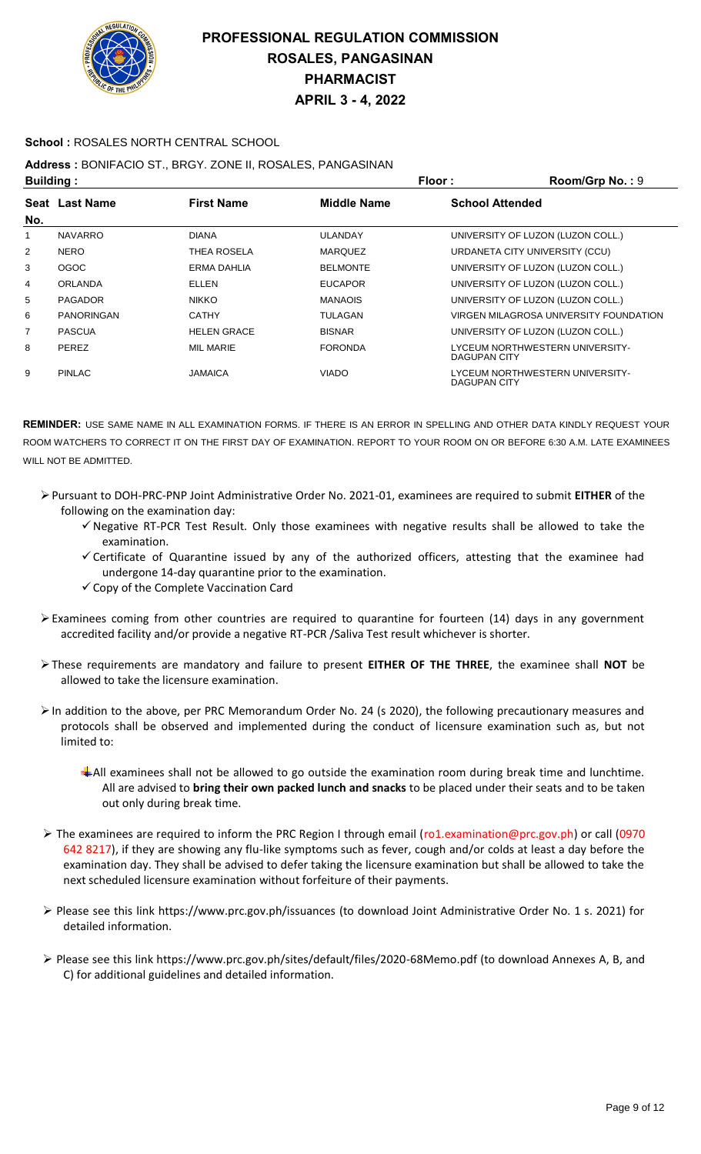

### **School :** ROSALES NORTH CENTRAL SCHOOL

### **Address :** BONIFACIO ST., BRGY. ZONE II, ROSALES, PANGASINAN

| <b>Building:</b> |                   |                    |                    | Floor:                 | Room/Grp No.: 9                        |
|------------------|-------------------|--------------------|--------------------|------------------------|----------------------------------------|
|                  | Seat Last Name    | <b>First Name</b>  | <b>Middle Name</b> | <b>School Attended</b> |                                        |
| No.              |                   |                    |                    |                        |                                        |
| 1                | <b>NAVARRO</b>    | <b>DIANA</b>       | <b>ULANDAY</b>     |                        | UNIVERSITY OF LUZON (LUZON COLL.)      |
| 2                | <b>NERO</b>       | THEA ROSELA        | <b>MARQUEZ</b>     |                        | URDANETA CITY UNIVERSITY (CCU)         |
| 3                | OGOC              | ERMA DAHLIA        | <b>BELMONTE</b>    |                        | UNIVERSITY OF LUZON (LUZON COLL.)      |
| 4                | <b>ORLANDA</b>    | ELLEN              | <b>EUCAPOR</b>     |                        | UNIVERSITY OF LUZON (LUZON COLL.)      |
| 5                | <b>PAGADOR</b>    | <b>NIKKO</b>       | <b>MANAOIS</b>     |                        | UNIVERSITY OF LUZON (LUZON COLL.)      |
| 6                | <b>PANORINGAN</b> | <b>CATHY</b>       | <b>TULAGAN</b>     |                        | VIRGEN MILAGROSA UNIVERSITY FOUNDATION |
| 7                | <b>PASCUA</b>     | <b>HELEN GRACE</b> | <b>BISNAR</b>      |                        | UNIVERSITY OF LUZON (LUZON COLL.)      |
| 8                | <b>PEREZ</b>      | <b>MIL MARIE</b>   | <b>FORONDA</b>     | DAGUPAN CITY           | LYCEUM NORTHWESTERN UNIVERSITY-        |
| 9                | <b>PINLAC</b>     | JAMAICA            | <b>VIADO</b>       | DAGUPAN CITY           | LYCEUM NORTHWESTERN UNIVERSITY-        |

- Pursuant to DOH-PRC-PNP Joint Administrative Order No. 2021-01, examinees are required to submit **EITHER** of the following on the examination day:
	- $\checkmark$  Negative RT-PCR Test Result. Only those examinees with negative results shall be allowed to take the examination.
	- $\checkmark$  Certificate of Quarantine issued by any of the authorized officers, attesting that the examinee had undergone 14-day quarantine prior to the examination.
	- $\checkmark$  Copy of the Complete Vaccination Card
- $\triangleright$  Examinees coming from other countries are required to quarantine for fourteen (14) days in any government accredited facility and/or provide a negative RT-PCR /Saliva Test result whichever is shorter.
- These requirements are mandatory and failure to present **EITHER OF THE THREE**, the examinee shall **NOT** be allowed to take the licensure examination.
- $\triangleright$  In addition to the above, per PRC Memorandum Order No. 24 (s 2020), the following precautionary measures and protocols shall be observed and implemented during the conduct of licensure examination such as, but not limited to:
	- All examinees shall not be allowed to go outside the examination room during break time and lunchtime. All are advised to **bring their own packed lunch and snacks** to be placed under their seats and to be taken out only during break time.
- The examinees are required to inform the PRC Region I through email (ro1.examination@prc.gov.ph) or call (0970 642 8217), if they are showing any flu-like symptoms such as fever, cough and/or colds at least a day before the examination day. They shall be advised to defer taking the licensure examination but shall be allowed to take the next scheduled licensure examination without forfeiture of their payments.
- Please see this link https://www.prc.gov.ph/issuances (to download Joint Administrative Order No. 1 s. 2021) for detailed information.
- Please see this link https://www.prc.gov.ph/sites/default/files/2020-68Memo.pdf (to download Annexes A, B, and C) for additional guidelines and detailed information.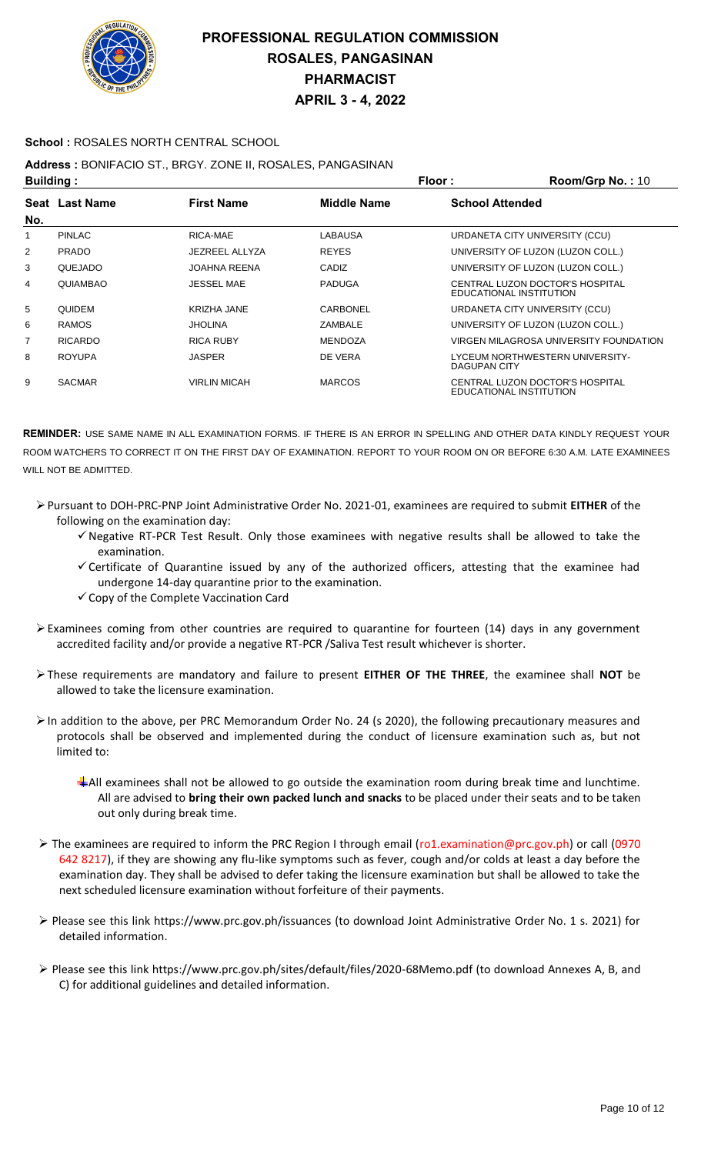

### **School :** ROSALES NORTH CENTRAL SCHOOL

### **Address :** BONIFACIO ST., BRGY. ZONE II, ROSALES, PANGASINAN

| <b>Building:</b> |                |                     | Floor:<br>Room/Grp No.: 10 |                        |                                                            |
|------------------|----------------|---------------------|----------------------------|------------------------|------------------------------------------------------------|
|                  | Seat Last Name | <b>First Name</b>   | <b>Middle Name</b>         | <b>School Attended</b> |                                                            |
| No.              |                |                     |                            |                        |                                                            |
| 1                | <b>PINLAC</b>  | RICA-MAE            | LABAUSA                    |                        | URDANETA CITY UNIVERSITY (CCU)                             |
| 2                | <b>PRADO</b>   | JEZREEL ALLYZA      | <b>REYES</b>               |                        | UNIVERSITY OF LUZON (LUZON COLL.)                          |
| 3                | QUEJADO        | <b>JOAHNA REENA</b> | CADIZ                      |                        | UNIVERSITY OF LUZON (LUZON COLL.)                          |
| 4                | QUIAMBAO       | <b>JESSEL MAE</b>   | <b>PADUGA</b>              |                        | CENTRAL LUZON DOCTOR'S HOSPITAL<br>EDUCATIONAL INSTITUTION |
| 5                | <b>QUIDEM</b>  | <b>KRIZHA JANE</b>  | CARBONEL                   |                        | URDANETA CITY UNIVERSITY (CCU)                             |
| 6                | <b>RAMOS</b>   | <b>JHOLINA</b>      | ZAMBALE                    |                        | UNIVERSITY OF LUZON (LUZON COLL.)                          |
| $\overline{7}$   | <b>RICARDO</b> | <b>RICA RUBY</b>    | <b>MENDOZA</b>             |                        | VIRGEN MILAGROSA UNIVERSITY FOUNDATION                     |
| 8                | <b>ROYUPA</b>  | <b>JASPER</b>       | DE VERA                    | DAGUPAN CITY           | LYCEUM NORTHWESTERN UNIVERSITY-                            |
| 9                | <b>SACMAR</b>  | <b>VIRLIN MICAH</b> | <b>MARCOS</b>              |                        | CENTRAL LUZON DOCTOR'S HOSPITAL<br>EDUCATIONAL INSTITUTION |

- Pursuant to DOH-PRC-PNP Joint Administrative Order No. 2021-01, examinees are required to submit **EITHER** of the following on the examination day:
	- $\checkmark$  Negative RT-PCR Test Result. Only those examinees with negative results shall be allowed to take the examination.
	- Certificate of Quarantine issued by any of the authorized officers, attesting that the examinee had undergone 14-day quarantine prior to the examination.
	- $\checkmark$  Copy of the Complete Vaccination Card
- Examinees coming from other countries are required to quarantine for fourteen (14) days in any government accredited facility and/or provide a negative RT-PCR /Saliva Test result whichever is shorter.
- These requirements are mandatory and failure to present **EITHER OF THE THREE**, the examinee shall **NOT** be allowed to take the licensure examination.
- In addition to the above, per PRC Memorandum Order No. 24 (s 2020), the following precautionary measures and protocols shall be observed and implemented during the conduct of licensure examination such as, but not limited to:
	- All examinees shall not be allowed to go outside the examination room during break time and lunchtime. All are advised to **bring their own packed lunch and snacks** to be placed under their seats and to be taken out only during break time.
- The examinees are required to inform the PRC Region I through email (ro1.examination@prc.gov.ph) or call (0970 642 8217), if they are showing any flu-like symptoms such as fever, cough and/or colds at least a day before the examination day. They shall be advised to defer taking the licensure examination but shall be allowed to take the next scheduled licensure examination without forfeiture of their payments.
- Please see this link https://www.prc.gov.ph/issuances (to download Joint Administrative Order No. 1 s. 2021) for detailed information.
- Please see this link https://www.prc.gov.ph/sites/default/files/2020-68Memo.pdf (to download Annexes A, B, and C) for additional guidelines and detailed information.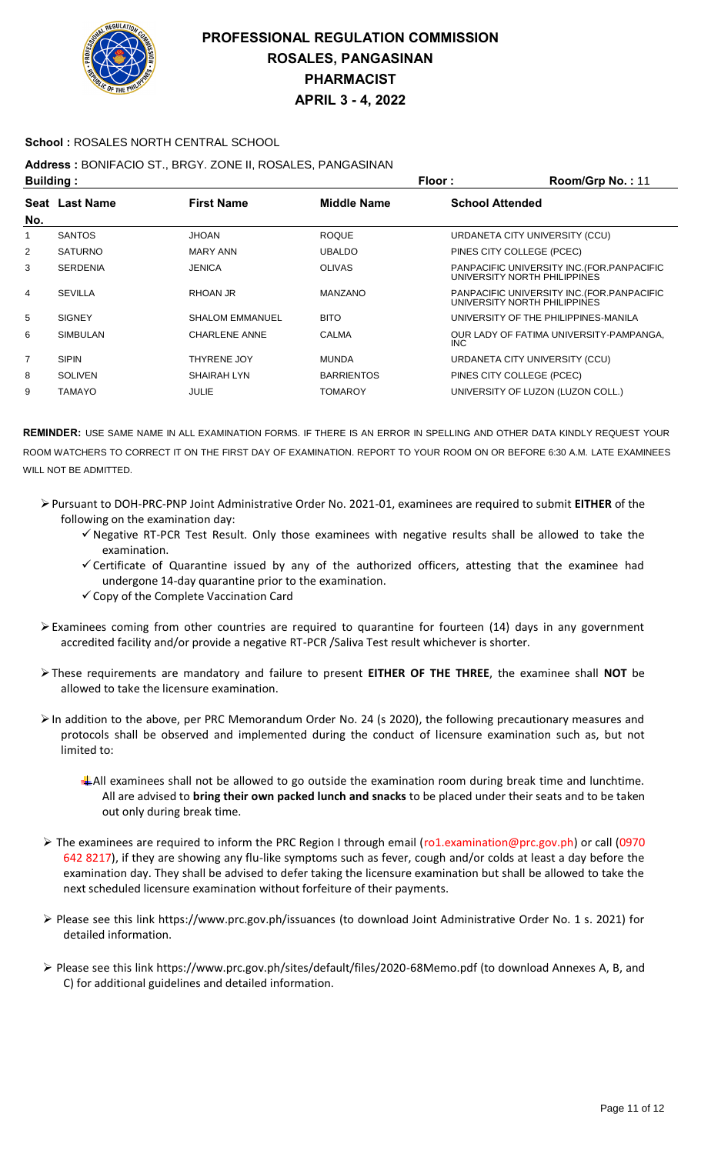

#### **School :** ROSALES NORTH CENTRAL SCHOOL

### **Address :** BONIFACIO ST., BRGY. ZONE II, ROSALES, PANGASINAN

| <b>Building:</b> |                 |                        | Floor:             | Room/Grp No.: 11       |                                                                             |
|------------------|-----------------|------------------------|--------------------|------------------------|-----------------------------------------------------------------------------|
|                  | Seat Last Name  | <b>First Name</b>      | <b>Middle Name</b> | <b>School Attended</b> |                                                                             |
| No.              |                 |                        |                    |                        |                                                                             |
| 1                | <b>SANTOS</b>   | <b>JHOAN</b>           | <b>ROQUE</b>       |                        | URDANETA CITY UNIVERSITY (CCU)                                              |
| 2                | <b>SATURNO</b>  | MARY ANN               | <b>UBALDO</b>      |                        | PINES CITY COLLEGE (PCEC)                                                   |
| 3                | <b>SERDENIA</b> | <b>JENICA</b>          | <b>OLIVAS</b>      |                        | PANPACIFIC UNIVERSITY INC. (FOR. PANPACIFIC<br>UNIVERSITY NORTH PHILIPPINES |
| 4                | <b>SEVILLA</b>  | RHOAN JR               | <b>MANZANO</b>     |                        | PANPACIFIC UNIVERSITY INC. (FOR. PANPACIFIC<br>UNIVERSITY NORTH PHILIPPINES |
| 5                | <b>SIGNEY</b>   | <b>SHALOM EMMANUEL</b> | <b>BITO</b>        |                        | UNIVERSITY OF THE PHILIPPINES-MANILA                                        |
| 6                | <b>SIMBULAN</b> | <b>CHARLENE ANNE</b>   | CALMA              | INC.                   | OUR LADY OF FATIMA UNIVERSITY-PAMPANGA,                                     |
| $\overline{7}$   | <b>SIPIN</b>    | THYRENE JOY            | <b>MUNDA</b>       |                        | URDANETA CITY UNIVERSITY (CCU)                                              |
| 8                | <b>SOLIVEN</b>  | <b>SHAIRAH LYN</b>     | <b>BARRIENTOS</b>  |                        | PINES CITY COLLEGE (PCEC)                                                   |
| 9                | <b>TAMAYO</b>   | <b>JULIE</b>           | TOMAROY            |                        | UNIVERSITY OF LUZON (LUZON COLL.)                                           |

- Pursuant to DOH-PRC-PNP Joint Administrative Order No. 2021-01, examinees are required to submit **EITHER** of the following on the examination day:
	- $\checkmark$  Negative RT-PCR Test Result. Only those examinees with negative results shall be allowed to take the examination.
	- $\checkmark$  Certificate of Quarantine issued by any of the authorized officers, attesting that the examinee had undergone 14-day quarantine prior to the examination.
	- $\checkmark$  Copy of the Complete Vaccination Card
- $\triangleright$  Examinees coming from other countries are required to quarantine for fourteen (14) days in any government accredited facility and/or provide a negative RT-PCR /Saliva Test result whichever is shorter.
- These requirements are mandatory and failure to present **EITHER OF THE THREE**, the examinee shall **NOT** be allowed to take the licensure examination.
- In addition to the above, per PRC Memorandum Order No. 24 (s 2020), the following precautionary measures and protocols shall be observed and implemented during the conduct of licensure examination such as, but not limited to:
	- $\pm$  All examinees shall not be allowed to go outside the examination room during break time and lunchtime. All are advised to **bring their own packed lunch and snacks** to be placed under their seats and to be taken out only during break time.
- The examinees are required to inform the PRC Region I through email (ro1.examination@prc.gov.ph) or call (0970 642 8217), if they are showing any flu-like symptoms such as fever, cough and/or colds at least a day before the examination day. They shall be advised to defer taking the licensure examination but shall be allowed to take the next scheduled licensure examination without forfeiture of their payments.
- Please see this link https://www.prc.gov.ph/issuances (to download Joint Administrative Order No. 1 s. 2021) for detailed information.
- Please see this link https://www.prc.gov.ph/sites/default/files/2020-68Memo.pdf (to download Annexes A, B, and C) for additional guidelines and detailed information.